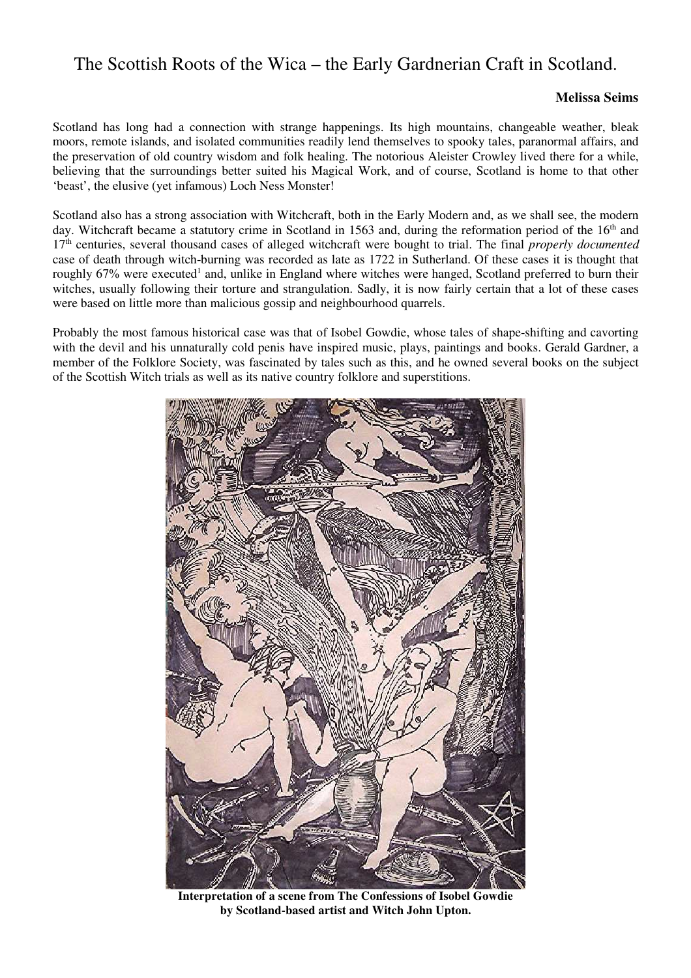## The Scottish Roots of the Wica – the Early Gardnerian Craft in Scotland.

## **Melissa Seims**

Scotland has long had a connection with strange happenings. Its high mountains, changeable weather, bleak moors, remote islands, and isolated communities readily lend themselves to spooky tales, paranormal affairs, and the preservation of old country wisdom and folk healing. The notorious Aleister Crowley lived there for a while, believing that the surroundings better suited his Magical Work, and of course, Scotland is home to that other 'beast', the elusive (yet infamous) Loch Ness Monster!

Scotland also has a strong association with Witchcraft, both in the Early Modern and, as we shall see, the modern day. Witchcraft became a statutory crime in Scotland in 1563 and, during the reformation period of the 16<sup>th</sup> and 17th centuries, several thousand cases of alleged witchcraft were bought to trial. The final *properly documented* case of death through witch-burning was recorded as late as 1722 in Sutherland. Of these cases it is thought that roughly 67% were executed<sup>1</sup> and, unlike in England where witches were hanged, Scotland preferred to burn their witches, usually following their torture and strangulation. Sadly, it is now fairly certain that a lot of these cases were based on little more than malicious gossip and neighbourhood quarrels.

Probably the most famous historical case was that of Isobel Gowdie, whose tales of shape-shifting and cavorting with the devil and his unnaturally cold penis have inspired music, plays, paintings and books. Gerald Gardner, a member of the Folklore Society, was fascinated by tales such as this, and he owned several books on the subject of the Scottish Witch trials as well as its native country folklore and superstitions.



**Interpretation of a scene from The Confessions of Isobel Gowdie by Scotland-based artist and Witch John Upton.**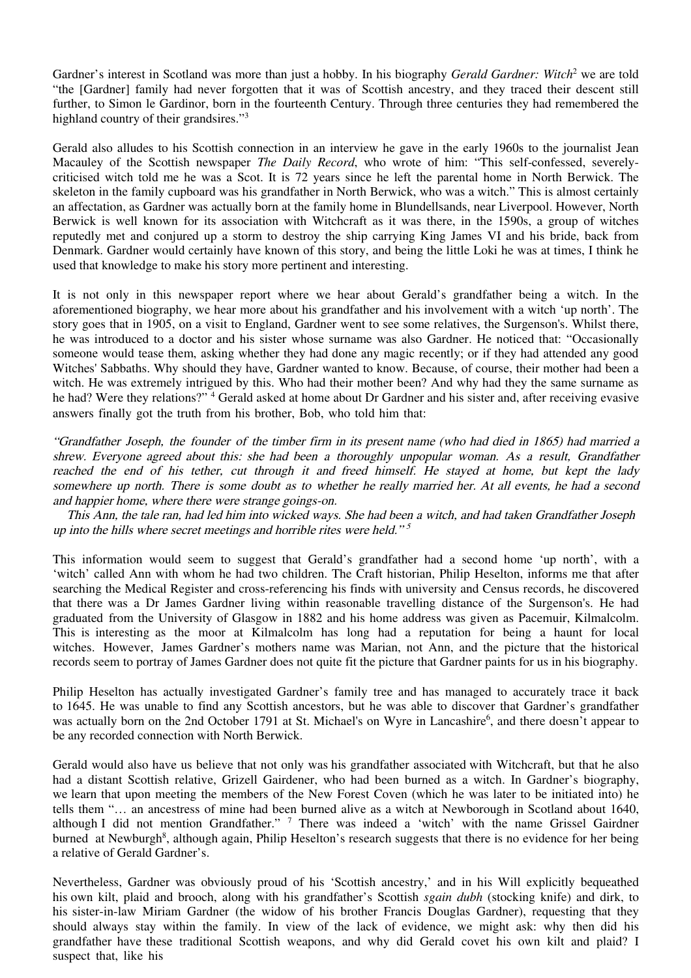Gardner's interest in Scotland was more than just a hobby. In his biography *Gerald Gardner: Witch*<sup>2</sup> we are told "the [Gardner] family had never forgotten that it was of Scottish ancestry, and they traced their descent still further, to Simon le Gardinor, born in the fourteenth Century. Through three centuries they had remembered the highland country of their grandsires."<sup>3</sup>

Gerald also alludes to his Scottish connection in an interview he gave in the early 1960s to the journalist Jean Macauley of the Scottish newspaper *The Daily Record*, who wrote of him: "This self-confessed, severelycriticised witch told me he was a Scot. It is 72 years since he left the parental home in North Berwick. The skeleton in the family cupboard was his grandfather in North Berwick, who was a witch." This is almost certainly an affectation, as Gardner was actually born at the family home in Blundellsands, near Liverpool. However, North Berwick is well known for its association with Witchcraft as it was there, in the 1590s, a group of witches reputedly met and conjured up a storm to destroy the ship carrying King James VI and his bride, back from Denmark. Gardner would certainly have known of this story, and being the little Loki he was at times, I think he used that knowledge to make his story more pertinent and interesting.

It is not only in this newspaper report where we hear about Gerald's grandfather being a witch. In the aforementioned biography, we hear more about his grandfather and his involvement with a witch 'up north'. The story goes that in 1905, on a visit to England, Gardner went to see some relatives, the Surgenson's. Whilst there, he was introduced to a doctor and his sister whose surname was also Gardner. He noticed that: "Occasionally someone would tease them, asking whether they had done any magic recently; or if they had attended any good Witches' Sabbaths. Why should they have, Gardner wanted to know. Because, of course, their mother had been a witch. He was extremely intrigued by this. Who had their mother been? And why had they the same surname as he had? Were they relations?" <sup>4</sup> Gerald asked at home about Dr Gardner and his sister and, after receiving evasive answers finally got the truth from his brother, Bob, who told him that:

"Grandfather Joseph, the founder of the timber firm in its present name (who had died in 1865) had married a shrew. Everyone agreed about this: she had been a thoroughly unpopular woman. As a result, Grandfather reached the end of his tether, cut through it and freed himself. He stayed at home, but kept the lady somewhere up north. There is some doubt as to whether he really married her. At all events, he had a second and happier home, where there were strange goings-on.

This Ann, the tale ran, had led him into wicked ways. She had been a witch, and had taken Grandfather Joseph up into the hills where secret meetings and horrible rites were held."<sup>5</sup>

This information would seem to suggest that Gerald's grandfather had a second home 'up north', with a 'witch' called Ann with whom he had two children. The Craft historian, Philip Heselton, informs me that after searching the Medical Register and cross-referencing his finds with university and Census records, he discovered that there was a Dr James Gardner living within reasonable travelling distance of the Surgenson's. He had graduated from the University of Glasgow in 1882 and his home address was given as Pacemuir, Kilmalcolm. This is interesting as the moor at Kilmalcolm has long had a reputation for being a haunt for local witches. However, James Gardner's mothers name was Marian, not Ann, and the picture that the historical records seem to portray of James Gardner does not quite fit the picture that Gardner paints for us in his biography.

Philip Heselton has actually investigated Gardner's family tree and has managed to accurately trace it back to 1645. He was unable to find any Scottish ancestors, but he was able to discover that Gardner's grandfather was actually born on the 2nd October 1791 at St. Michael's on Wyre in Lancashire<sup>6</sup>, and there doesn't appear to be any recorded connection with North Berwick.

Gerald would also have us believe that not only was his grandfather associated with Witchcraft, but that he also had a distant Scottish relative, Grizell Gairdener, who had been burned as a witch. In Gardner's biography, we learn that upon meeting the members of the New Forest Coven (which he was later to be initiated into) he tells them "… an ancestress of mine had been burned alive as a witch at Newborough in Scotland about 1640, although I did not mention Grandfather." <sup>7</sup> There was indeed a 'witch' with the name Grissel Gairdner burned at Newburgh<sup>8</sup>, although again, Philip Heselton's research suggests that there is no evidence for her being a relative of Gerald Gardner's.

Nevertheless, Gardner was obviously proud of his 'Scottish ancestry,' and in his Will explicitly bequeathed his own kilt, plaid and brooch, along with his grandfather's Scottish *sgain dubh* (stocking knife) and dirk, to his sister-in-law Miriam Gardner (the widow of his brother Francis Douglas Gardner), requesting that they should always stay within the family. In view of the lack of evidence, we might ask: why then did his grandfather have these traditional Scottish weapons, and why did Gerald covet his own kilt and plaid? I suspect that, like his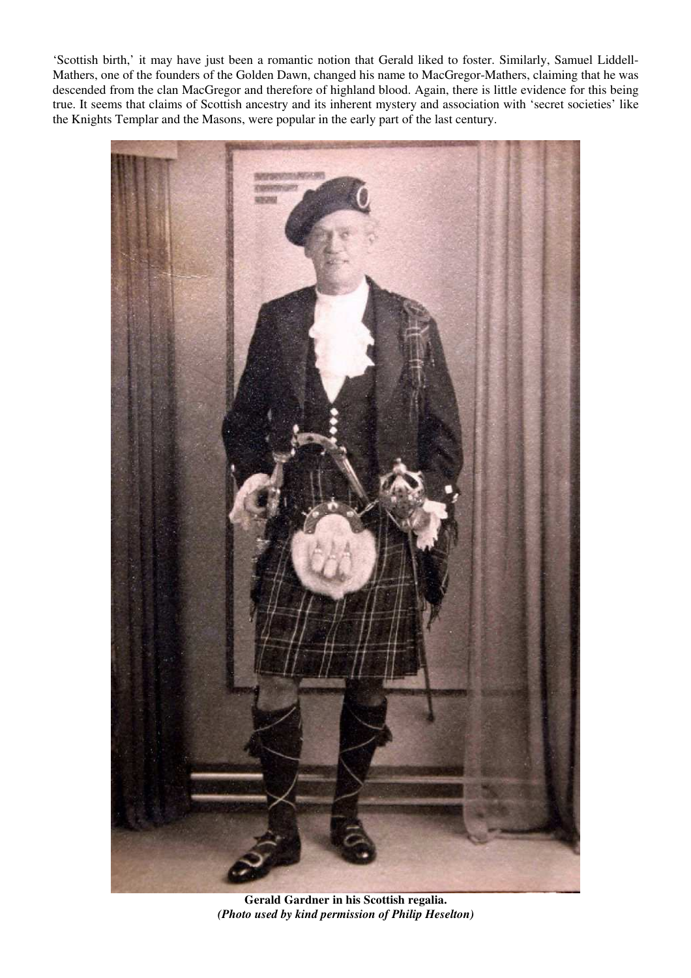'Scottish birth,' it may have just been a romantic notion that Gerald liked to foster. Similarly, Samuel Liddell-Mathers, one of the founders of the Golden Dawn, changed his name to MacGregor-Mathers, claiming that he was descended from the clan MacGregor and therefore of highland blood. Again, there is little evidence for this being true. It seems that claims of Scottish ancestry and its inherent mystery and association with 'secret societies' like the Knights Templar and the Masons, were popular in the early part of the last century.



**Gerald Gardner in his Scottish regalia.**  *(Photo used by kind permission of Philip Heselton)*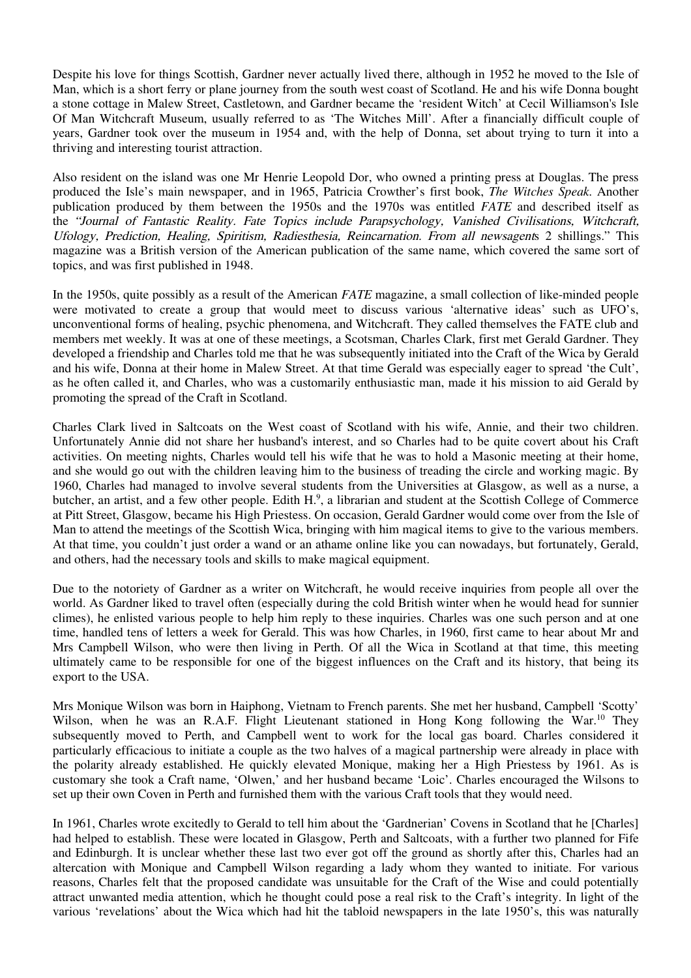Despite his love for things Scottish, Gardner never actually lived there, although in 1952 he moved to the Isle of Man, which is a short ferry or plane journey from the south west coast of Scotland. He and his wife Donna bought a stone cottage in Malew Street, Castletown, and Gardner became the 'resident Witch' at Cecil Williamson's Isle Of Man Witchcraft Museum, usually referred to as 'The Witches Mill'. After a financially difficult couple of years, Gardner took over the museum in 1954 and, with the help of Donna, set about trying to turn it into a thriving and interesting tourist attraction.

Also resident on the island was one Mr Henrie Leopold Dor, who owned a printing press at Douglas. The press produced the Isle's main newspaper, and in 1965, Patricia Crowther's first book, *The Witches Speak*. Another publication produced by them between the 1950s and the 1970s was entitled *FATE* and described itself as the "Journal of Fantastic Reality. Fate Topics include Parapsychology, Vanished Civilisations, Witchcraft, Ufology, Prediction, Healing, Spiritism, Radiesthesia, Reincarnation. From all newsagents 2 shillings." This magazine was a British version of the American publication of the same name, which covered the same sort of topics, and was first published in 1948.

In the 1950s, quite possibly as a result of the American *FATE* magazine, a small collection of like-minded people were motivated to create a group that would meet to discuss various 'alternative ideas' such as UFO's, unconventional forms of healing, psychic phenomena, and Witchcraft. They called themselves the FATE club and members met weekly. It was at one of these meetings, a Scotsman, Charles Clark, first met Gerald Gardner. They developed a friendship and Charles told me that he was subsequently initiated into the Craft of the Wica by Gerald and his wife, Donna at their home in Malew Street. At that time Gerald was especially eager to spread 'the Cult', as he often called it, and Charles, who was a customarily enthusiastic man, made it his mission to aid Gerald by promoting the spread of the Craft in Scotland.

Charles Clark lived in Saltcoats on the West coast of Scotland with his wife, Annie, and their two children. Unfortunately Annie did not share her husband's interest, and so Charles had to be quite covert about his Craft activities. On meeting nights, Charles would tell his wife that he was to hold a Masonic meeting at their home, and she would go out with the children leaving him to the business of treading the circle and working magic. By 1960, Charles had managed to involve several students from the Universities at Glasgow, as well as a nurse, a butcher, an artist, and a few other people. Edith H.<sup>9</sup>, a librarian and student at the Scottish College of Commerce at Pitt Street, Glasgow, became his High Priestess. On occasion, Gerald Gardner would come over from the Isle of Man to attend the meetings of the Scottish Wica, bringing with him magical items to give to the various members. At that time, you couldn't just order a wand or an athame online like you can nowadays, but fortunately, Gerald, and others, had the necessary tools and skills to make magical equipment.

Due to the notoriety of Gardner as a writer on Witchcraft, he would receive inquiries from people all over the world. As Gardner liked to travel often (especially during the cold British winter when he would head for sunnier climes), he enlisted various people to help him reply to these inquiries. Charles was one such person and at one time, handled tens of letters a week for Gerald. This was how Charles, in 1960, first came to hear about Mr and Mrs Campbell Wilson, who were then living in Perth. Of all the Wica in Scotland at that time, this meeting ultimately came to be responsible for one of the biggest influences on the Craft and its history, that being its export to the USA.

Mrs Monique Wilson was born in Haiphong, Vietnam to French parents. She met her husband, Campbell 'Scotty' Wilson, when he was an R.A.F. Flight Lieutenant stationed in Hong Kong following the War.<sup>10</sup> They subsequently moved to Perth, and Campbell went to work for the local gas board. Charles considered it particularly efficacious to initiate a couple as the two halves of a magical partnership were already in place with the polarity already established. He quickly elevated Monique, making her a High Priestess by 1961. As is customary she took a Craft name, 'Olwen,' and her husband became 'Loic'. Charles encouraged the Wilsons to set up their own Coven in Perth and furnished them with the various Craft tools that they would need.

In 1961, Charles wrote excitedly to Gerald to tell him about the 'Gardnerian' Covens in Scotland that he [Charles] had helped to establish. These were located in Glasgow, Perth and Saltcoats, with a further two planned for Fife and Edinburgh. It is unclear whether these last two ever got off the ground as shortly after this, Charles had an altercation with Monique and Campbell Wilson regarding a lady whom they wanted to initiate. For various reasons, Charles felt that the proposed candidate was unsuitable for the Craft of the Wise and could potentially attract unwanted media attention, which he thought could pose a real risk to the Craft's integrity. In light of the various 'revelations' about the Wica which had hit the tabloid newspapers in the late 1950's, this was naturally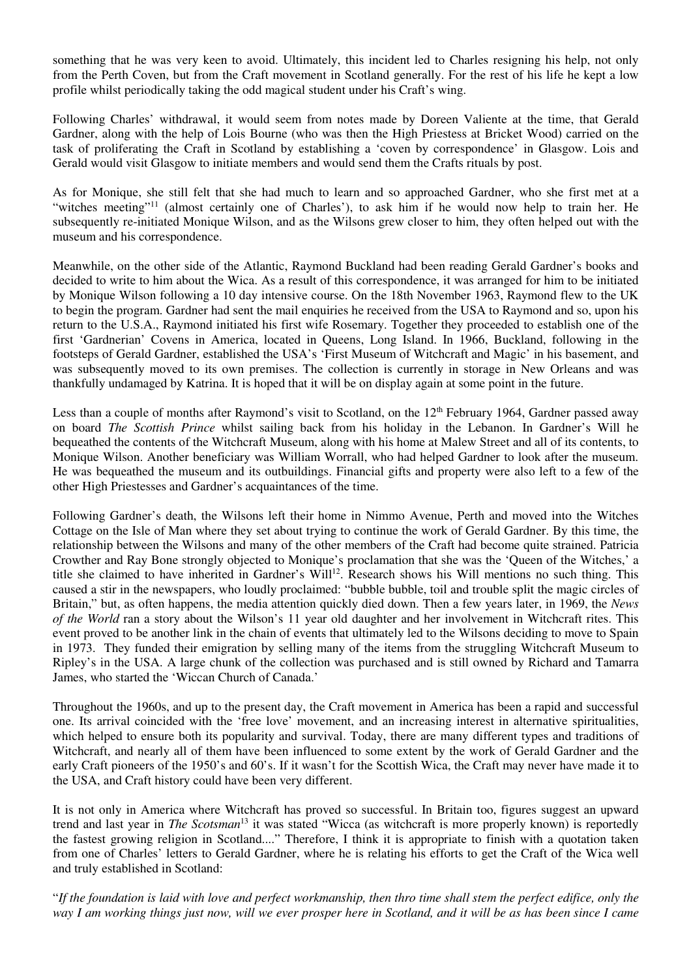something that he was very keen to avoid. Ultimately, this incident led to Charles resigning his help, not only from the Perth Coven, but from the Craft movement in Scotland generally. For the rest of his life he kept a low profile whilst periodically taking the odd magical student under his Craft's wing.

Following Charles' withdrawal, it would seem from notes made by Doreen Valiente at the time, that Gerald Gardner, along with the help of Lois Bourne (who was then the High Priestess at Bricket Wood) carried on the task of proliferating the Craft in Scotland by establishing a 'coven by correspondence' in Glasgow. Lois and Gerald would visit Glasgow to initiate members and would send them the Crafts rituals by post.

As for Monique, she still felt that she had much to learn and so approached Gardner, who she first met at a "witches meeting"<sup>11</sup> (almost certainly one of Charles'), to ask him if he would now help to train her. He subsequently re-initiated Monique Wilson, and as the Wilsons grew closer to him, they often helped out with the museum and his correspondence.

Meanwhile, on the other side of the Atlantic, Raymond Buckland had been reading Gerald Gardner's books and decided to write to him about the Wica. As a result of this correspondence, it was arranged for him to be initiated by Monique Wilson following a 10 day intensive course. On the 18th November 1963, Raymond flew to the UK to begin the program. Gardner had sent the mail enquiries he received from the USA to Raymond and so, upon his return to the U.S.A., Raymond initiated his first wife Rosemary. Together they proceeded to establish one of the first 'Gardnerian' Covens in America, located in Queens, Long Island. In 1966, Buckland, following in the footsteps of Gerald Gardner, established the USA's 'First Museum of Witchcraft and Magic' in his basement, and was subsequently moved to its own premises. The collection is currently in storage in New Orleans and was thankfully undamaged by Katrina. It is hoped that it will be on display again at some point in the future.

Less than a couple of months after Raymond's visit to Scotland, on the 12<sup>th</sup> February 1964, Gardner passed away on board *The Scottish Prince* whilst sailing back from his holiday in the Lebanon. In Gardner's Will he bequeathed the contents of the Witchcraft Museum, along with his home at Malew Street and all of its contents, to Monique Wilson. Another beneficiary was William Worrall, who had helped Gardner to look after the museum. He was bequeathed the museum and its outbuildings. Financial gifts and property were also left to a few of the other High Priestesses and Gardner's acquaintances of the time.

Following Gardner's death, the Wilsons left their home in Nimmo Avenue, Perth and moved into the Witches Cottage on the Isle of Man where they set about trying to continue the work of Gerald Gardner. By this time, the relationship between the Wilsons and many of the other members of the Craft had become quite strained. Patricia Crowther and Ray Bone strongly objected to Monique's proclamation that she was the 'Queen of the Witches,' a title she claimed to have inherited in Gardner's Will<sup>12</sup>. Research shows his Will mentions no such thing. This caused a stir in the newspapers, who loudly proclaimed: "bubble bubble, toil and trouble split the magic circles of Britain," but, as often happens, the media attention quickly died down. Then a few years later, in 1969, the *News of the World* ran a story about the Wilson's 11 year old daughter and her involvement in Witchcraft rites. This event proved to be another link in the chain of events that ultimately led to the Wilsons deciding to move to Spain in 1973. They funded their emigration by selling many of the items from the struggling Witchcraft Museum to Ripley's in the USA. A large chunk of the collection was purchased and is still owned by Richard and Tamarra James, who started the 'Wiccan Church of Canada.'

Throughout the 1960s, and up to the present day, the Craft movement in America has been a rapid and successful one. Its arrival coincided with the 'free love' movement, and an increasing interest in alternative spiritualities, which helped to ensure both its popularity and survival. Today, there are many different types and traditions of Witchcraft, and nearly all of them have been influenced to some extent by the work of Gerald Gardner and the early Craft pioneers of the 1950's and 60's. If it wasn't for the Scottish Wica, the Craft may never have made it to the USA, and Craft history could have been very different.

It is not only in America where Witchcraft has proved so successful. In Britain too, figures suggest an upward trend and last year in *The Scotsman*<sup>13</sup> it was stated "Wicca (as witchcraft is more properly known) is reportedly the fastest growing religion in Scotland...." Therefore, I think it is appropriate to finish with a quotation taken from one of Charles' letters to Gerald Gardner, where he is relating his efforts to get the Craft of the Wica well and truly established in Scotland:

"*If the foundation is laid with love and perfect workmanship, then thro time shall stem the perfect edifice, only the way I am working things just now, will we ever prosper here in Scotland, and it will be as has been since I came*